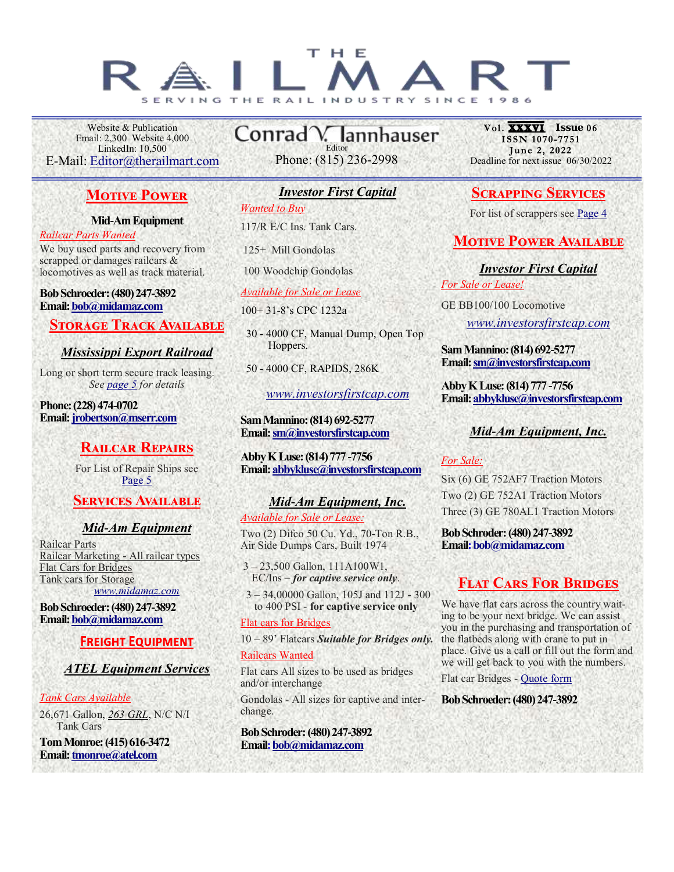#### т  $H E$ R A H E N<sub>D</sub><sub>H</sub>

Website & Publication Email: 2,300 Website 4,000 LinkedIn: 10,500 E-Mail: [Editor@therailmart.com](mailto:editro@therailmart.com?subject=The%20Rail%20Mart%20-%20Digital%20Editon)

# **Motive Power**

#### **Mid-Am Equipment**

*Railcar Parts Wanted* We buy used parts and recovery from scrapped or damages railcars & locomotives as well as track material.

#### **Bob Schroeder: (480) 247-3892 Email: [bob@midamaz.com](mailto:bob@midamaz.com?subject=Per%20your%20ad%20in%20The%20Rail%20Mart)**

# **STORAGE TRACK AVAILABLE**

# *Mississippi Export Railroad*

Long or short term secure track leasing. *See [page 5](#page-4-0) for details*

**Phone: (228) 474-0702 Email: [jrobertson@mserr.com](mailto:jrobertson@mserr.com?subject=Pre%20your%20ad%20in%20The%20Rail%20Mart)**

# **Railcar Repairs**

For List of Repair Ships see [Page 5](#page-4-0)

# **SERVICES AVAILABLE**

# *Mid-Am Equipment*

Railcar Parts Railcar Marketing - All railcar types Flat Cars for Bridges Tank cars for Storage *[www.midamaz.com](http://www.midamaz.com)*

**Bob Schroeder: (480) 247-3892 Email: [bob@midamaz.com](mailto:bob@midamaz.com?subject=Per%20your%20ad%20in%20The%20Rail%20Mart)**

# **FREIGHT EQUIPMENT**

# *ATEL Equipment Services*

#### *Tank Cars Available*

26,671 Gallon, *263 GRL*, N/C N/I Tank Cars

**Tom Monroe: (415) 616-3472 Email: [tmonroe@atel.com](mailto:tmonroe@atel.com?subject=Per%20your%20ad%20in%20The%20Rail%20Mart)**

Conrad V. lannhauser Editor Phone: (815) 236-2998

# *Investor First Capital*

*Wanted to Buy*

117/R E/C Ins. Tank Cars.

125+ Mill Gondolas

100 Woodchip Gondolas

*Available for Sale or Lease*

100+ 31-8's CPC 1232a

 30 - 4000 CF, Manual Dump, Open Top Hoppers.

50 - 4000 CF, RAPIDS, 286K

*[www.investorsfirstcap.com](http://www.investorsfirstcap.com/)*

#### **Sam Mannino: (814) 692-5277 Email: [sm@investorsfirstcap.com](mailto:sm@investorsfirstcap.com?subject=Per%20your%20ad%20in%20The%20Rail%20Mart)**

**Abby K Luse: (814) 777 -7756 Email: [abbykluse@investorsfirstcap.com](mailto:abbykluse@investorsfirstcap.com?subject=Per%20your%20ad%20in%20%22The%20Rail%20Mart%22)**

# *Mid-Am Equipment, Inc.*

*Available for Sale or Lease:*

Two (2) Difco 50 Cu. Yd., 70-Ton R.B., Air Side Dumps Cars, Built 1974

3 – 23,500 Gallon, 111A100W1, EC/Ins – *for captive service only*.

 3 – 34,00000 Gallon, 105J and 112J - 300 to 400 PSI - **for captive service only** 

#### Flat cars for Bridges

10 – 89' Flatcars *Suitable for Bridges only.*

#### Railcars Wanted

Flat cars All sizes to be used as bridges and/or interchange

Gondolas - All sizes for captive and interchange.

**Bob Schroder: (480) 247-3892 Email: [bob@midamaz.com](mailto:bob@midamaz.com?subject=Per%20your%20ad%20in%20The%20Rail%20Mart)**

**Vol. XXXVI** ISSUe 06<br>ISSN 1070-7751 June 2, 2022 Deadline for next issue 06/30/2022

# **Scrapping Services**

For list of scrappers see [Page](#page-3-0) [4](#page-3-0)

# **MOTIVE POWER AVAILABLE**

*Investor First Capital*

*For Sale or Lease!*

GE BB100/100 Locomotive

*[www.investorsfirstcap.com](http://www.investorsfirstcap.com/)*

**Sam Mannino: (814) 692-5277 Email: [sm@investorsfirstcap.com](mailto:sm@investorsfirstcap.com?subject=Per%20your%20ad%20in%20The%20Rail%20Mart)**

**Abby K Luse: (814) 777 -7756 Email: [abbykluse@investorsfirstcap.com](mailto:abbykluse@investorsfirstcap.com?subject=Per%20your%20ad%20in%20%22The%20Rail%20Mart%22)**

# *Mid-Am Equipment, Inc.*

#### *For Sale:*

Six (6) GE 752AF7 Traction Motors Two (2) GE 752A1 Traction Motors Three (3) GE 780AL1 Traction Motors

**Bob Schroder: (480) 247-3892 Email: [bob@midamaz.com](mailto:bob@midamaz.com?subject=Per%20your%20ad%20in%20The%20Rail%20Mart)**

# **Flat Cars For Bridges**

We have flat cars across the country waiting to be your next bridge. We can assist you in the purchasing and transportation of the flatbeds along with crane to put in place. Give us a call or fill out the form and we will get back to you with the numbers.

Flat car Bridges - [Quote form](https://www.therailmart.com/flat-cars-for-bridges/)

**Bob Schroeder: (480) 247-3892**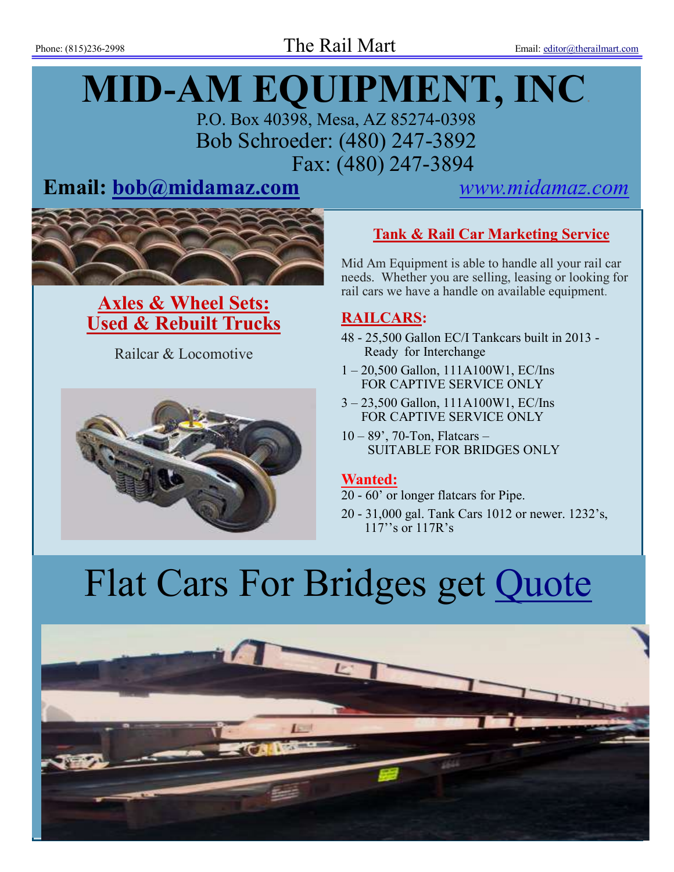# **MID-AM EQUIPMENT, INC**.

P.O. Box 40398, Mesa, AZ 85274-0398 Bob Schroeder: (480) 247-3892 Fax: (480) 247-3894

# **Email: [bob@midamaz.com](mailto:Bob@midamaz.com?subject=Per%20your%20ad%20in%20The%20Rail%20Mart)** *[www.midamaz.com](http://www.midamaz.com)*



**Axles & Wheel Sets: Used & Rebuilt Trucks** 

Railcar & Locomotive



# **Tank & Rail Car Marketing Service**

Mid Am Equipment is able to handle all your rail car needs. Whether you are selling, leasing or looking for rail cars we have a handle on available equipment.

# **RAILCARS:**

- 48 25,500 Gallon EC/I Tankcars built in 2013 Ready for Interchange
- 1 20,500 Gallon, 111A100W1, EC/Ins FOR CAPTIVE SERVICE ONLY
- 3 23,500 Gallon, 111A100W1, EC/Ins FOR CAPTIVE SERVICE ONLY
- 10 89', 70-Ton, Flatcars SUITABLE FOR BRIDGES ONLY

# **Wanted:**

- 20 60' or longer flatcars for Pipe.
- 20 31,000 gal. Tank Cars 1012 or newer. 1232's, 117''s or 117R's

# Flat Cars For Bridges get [Quote](https://www.therailmart.com/flat-cars-for-bridges/)

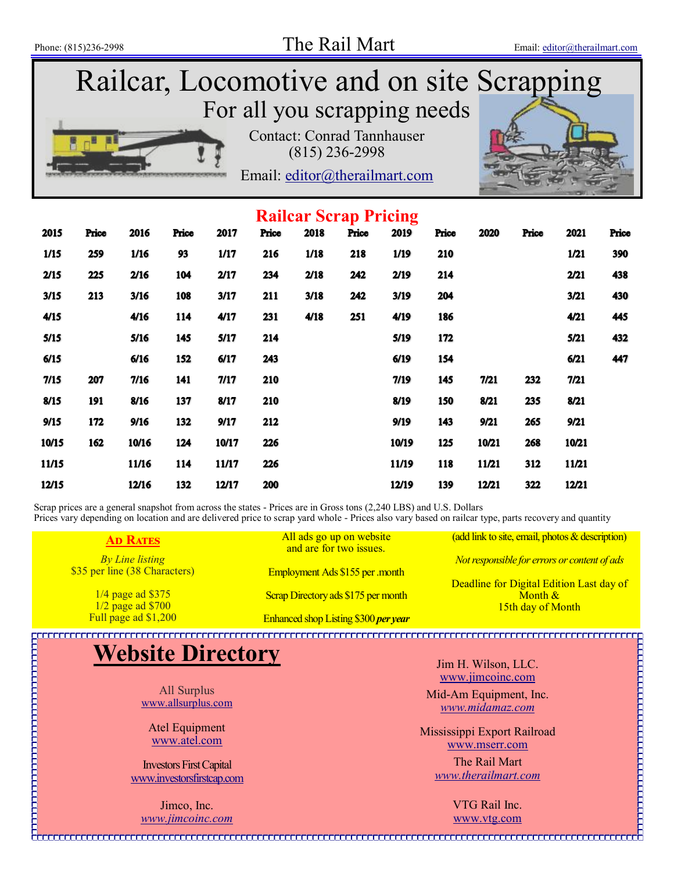# Railcar, Locomotive and on site Scrapping For all you scrapping needs Contact: Conrad Tannhauser (815) 236-2998 Email: [editor@therailmart.com](mailto:editor@therailmart.com)

| <b>Railcar Scrap Pricing</b> |       |       |       |       |       |      |       |       |       |       |       |       |       |
|------------------------------|-------|-------|-------|-------|-------|------|-------|-------|-------|-------|-------|-------|-------|
| 2015                         | Price | 2016  | Price | 2017  | Price | 2018 | Price | 2019  | Price | 2020  | Price | 2021  | Price |
| 1/15                         | 259   | 1/16  | 93    | 1/17  | 216   | 1/18 | 218   | 1/19  | 210   |       |       | 1/21  | 390   |
| 2/15                         | 225   | 2/16  | 104   | 2/17  | 234   | 2/18 | 242   | 2/19  | 214   |       |       | 2/21  | 438   |
| 3/15                         | 213   | 3/16  | 108   | 3/17  | 211   | 3/18 | 242   | 3/19  | 204   |       |       | 3/21  | 430   |
| 4/15                         |       | 4/16  | 114   | 4/17  | 231   | 4/18 | 251   | 4/19  | 186   |       |       | 4/21  | 445   |
| 5/15                         |       | 5/16  | 145   | 5/17  | 214   |      |       | 5/19  | 172   |       |       | 5/21  | 432   |
| 6/15                         |       | 6/16  | 152   | 6/17  | 243   |      |       | 6/19  | 154   |       |       | 6/21  | 447   |
| 7/15                         | 207   | 7/16  | 141   | 7/17  | 210   |      |       | 7/19  | 145   | 7/21  | 232   | 7/21  |       |
| 8/15                         | 191   | 8/16  | 137   | 8/17  | 210   |      |       | 8/19  | 150   | 8/21  | 235   | 8/21  |       |
| 9/15                         | 172   | 9/16  | 132   | 9/17  | 212   |      |       | 9/19  | 143   | 9/21  | 265   | 9/21  |       |
| 10/15                        | 162   | 10/16 | 124   | 10/17 | 226   |      |       | 10/19 | 125   | 10/21 | 268   | 10/21 |       |
| 11/15                        |       | 11/16 | 114   | 11/17 | 226   |      |       | 11/19 | 118   | 11/21 | 312   | 11/21 |       |
| 12/15                        |       | 12/16 | 132   | 12/17 | 200   |      |       | 12/19 | 139   | 12/21 | 322   | 12/21 |       |

Scrap prices are a general snapshot from across the states - Prices are in Gross tons (2,240 LBS) and U.S. Dollars Prices vary depending on location and are delivered price to scrap yard whole - Prices also vary based on railcar type, parts recovery and quantity

**Ad Rates** *By Line listing* \$35 per line (38 Characters)

> 1/4 page ad \$375  $\frac{1}{2}$  page ad \$700<br>Full page ad \$1,200 Full page ad \$1,200 Enhanced shop Listing \$300 *per year*

Employment Ads \$155 per .month Scrap Directory ads \$175 per month

All ads go up on website and are for two issues.

(add link to site, email, photos & description) *Not responsible for errors or content of ads*

Deadline for Digital Edition Last day of Month & 15th day of Month

# **Website Directory**

All Surplus [www.allsurplus.com](https://www.allsurplus.com)

Atel Equipment [www.atel.com](http://www.atel.com)

Investors First Capital [www.investorsfirstcap.com](http://www.investorsfirstcap.com/)

Jimco, Inc. *[www.jimcoinc.com](http://www.jimcoinc.com)* Jim H. Wilson, LLC. [www.jimcoinc.com](http://www.jimcoinc.com/)

Mid-Am Equipment, Inc. *[www.midamaz.com](http://www.midamaz.com)*

Mississippi Export Railroad [www.mserr.com](http://www.mserr.com)

> The Rail Mart *[www.therailmart.com](http://www.therailmart.com)*

> > VTG Rail Inc. [www.vtg.com](http://www.vtg.com)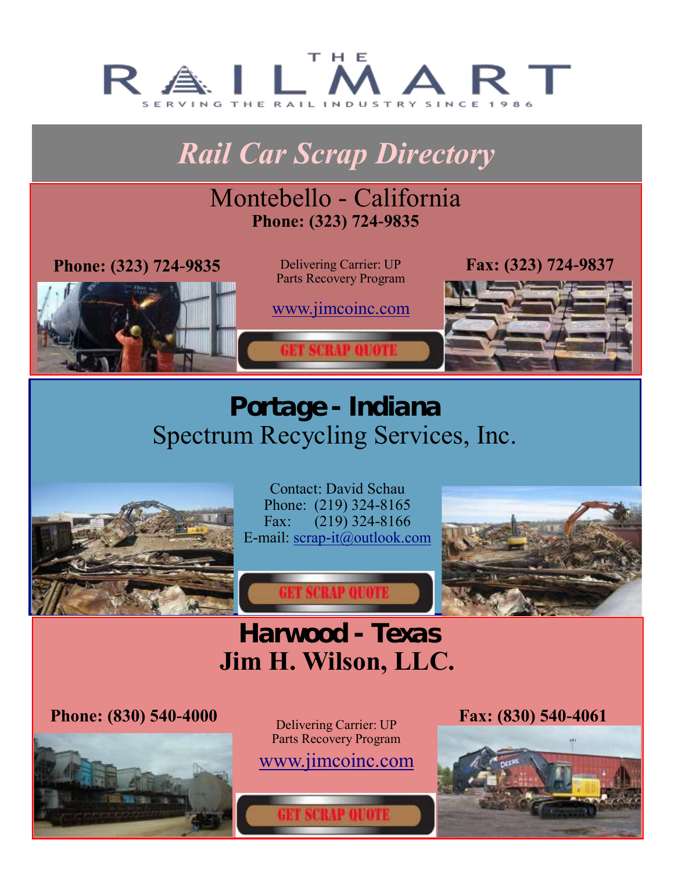<span id="page-3-0"></span>

# *Rail Car Scrap Directory*

# Montebello - California **Phone: (323) 724-9835**

**Phone: (323) 724-9835** Delivering Carrier: UP

Parts Recovery Program

[www.jimcoinc.com](http://www.jimcoinc.com)

**Fax: (323) 724-9837**

# **Portage - Indiana**  Spectrum Recycling Services, Inc.



Contact: David Schau Phone: (219) 324-8165 Fax: (219) 324-8166 E-mail: [scrap-it@outlook.com](mailto:scrap-it@outlook.com?subject=Per%20your%20ad%20in%20%22The%20Rail%20Mart%22)



# **Harwood - Texas Jim H. Wilson, LLC.**

**ET SCRAP QUOT** 

**Phone: (830) 540-4000** Delivering Carrier: UP



Parts Recovery Program [www.jimcoinc.com](http://www.jimcoinc.com)

**ET SCRAP OUOTE** 

**Fax: (830) 540-4061**

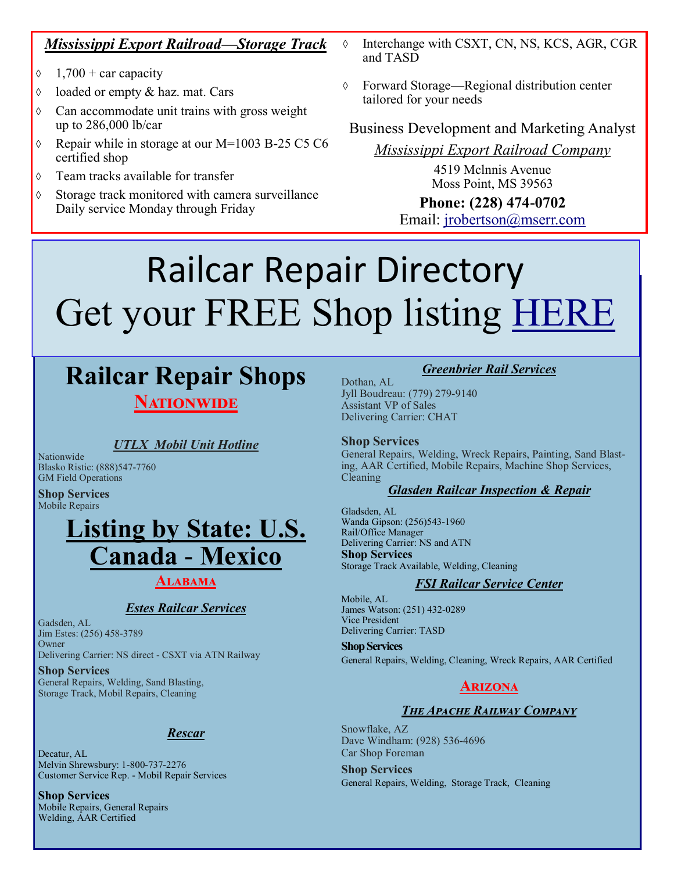# <span id="page-4-0"></span>*Mississippi Export Railroad—Storage Track*

- $\Diamond$  1,700 + car capacity
- $\Diamond$  loaded or empty & haz. mat. Cars
- $\Diamond$  Can accommodate unit trains with gross weight up to 286,000 lb/car
- $\lozenge$  Repair while in storage at our M=1003 B-25 C5 C6 certified shop
- Team tracks available for transfer
- $\Diamond$  Storage track monitored with camera surveillance Daily service Monday through Friday
- $\lozenge$  Interchange with CSXT, CN, NS, KCS, AGR, CGR and TASD
- Forward Storage—Regional distribution center tailored for your needs

# Business Development and Marketing Analyst

*Mississippi Export Railroad Company*

4519 Mclnnis Avenue Moss Point, MS 39563

**Phone: (228) 474-0702** Email: [jrobertson@mserr.com](mailto:jrobertson@mserr.com?subject=Per%20your%20ad%20in%20The%20Rail%20Mart)

# Railcar Repair Directory Get your FREE Shop listing [HERE](http://www.therailmart.com/pages/reparishopdata.html)

# **Railcar Repair Shops NATIONWIDE**

# *UTLX Mobil Unit Hotline*

Nationwide Blasko Ristic: (888)547-7760 GM Field Operations

**Shop Services** Mobile Repairs

# **Listing by State: U.S. Canada - Mexico**

# **Alabama**

# *Estes Railcar Services*

Gadsden, AL Jim Estes: (256) 458-3789 **Owner** Delivering Carrier: NS direct - CSXT via ATN Railway

**Shop Services** General Repairs, Welding, Sand Blasting, Storage Track, Mobil Repairs, Cleaning

# *Rescar*

Decatur, AL Melvin Shrewsbury: 1-800-737-2276 Customer Service Rep. - Mobil Repair Services

**Shop Services** Mobile Repairs, General Repairs Welding, AAR Certified

# *Greenbrier Rail Services*

Dothan, AL Jyll Boudreau: (779) 279-9140 Assistant VP of Sales Delivering Carrier: CHAT

#### **Shop Services**

General Repairs, Welding, Wreck Repairs, Painting, Sand Blasting, AAR Certified, Mobile Repairs, Machine Shop Services, Cleaning

# *Glasden Railcar Inspection & Repair*

Gladsden, AL Wanda Gipson: (256)543-1960 Rail/Office Manager Delivering Carrier: NS and ATN **Shop Services** Storage Track Available, Welding, Cleaning

#### *FSI Railcar Service Center*

Mobile, AL James Watson: (251) 432-0289 Vice President Delivering Carrier: TASD

**Shop Services** General Repairs, Welding, Cleaning, Wreck Repairs, AAR Certified

# **Arizona**

#### *The Apache Railway Company*

Snowflake, AZ Dave Windham: (928) 536-4696 Car Shop Foreman

**Shop Services** General Repairs, Welding, Storage Track, Cleaning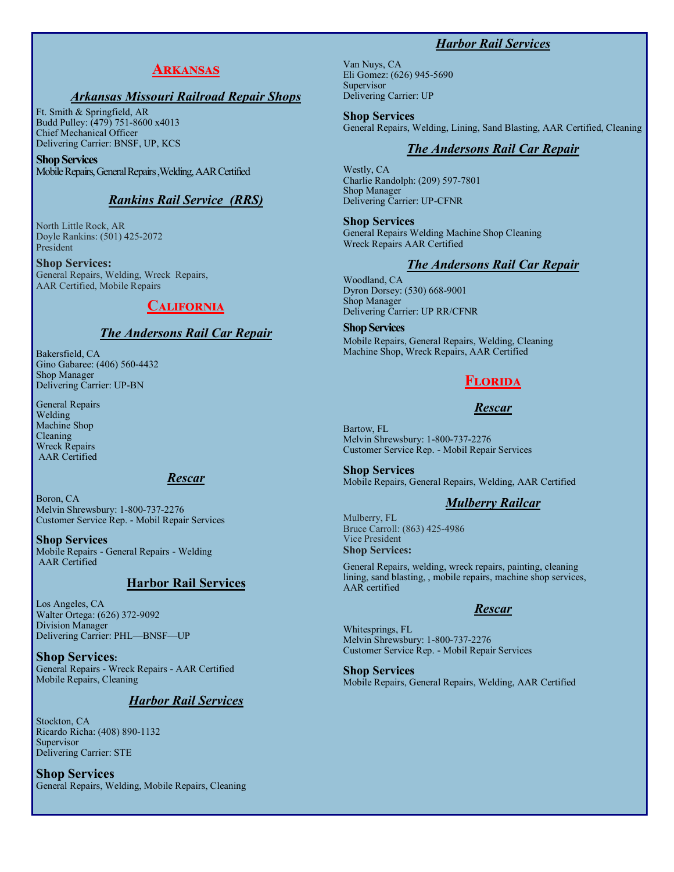# *Harbor Rail Services*

# **Arkansas**

#### *Arkansas Missouri Railroad Repair Shops*

Ft. Smith & Springfield, AR Budd Pulley: (479) 751-8600 x4013 Chief Mechanical Officer Delivering Carrier: BNSF, UP, KCS

**Shop Services** Mobile Repairs, General Repairs ,Welding, AAR Certified

#### *Rankins Rail Service (RRS)*

North Little Rock, AR Doyle Rankins: (501) 425-2072 President

**Shop Services:** General Repairs, Welding, Wreck Repairs, AAR Certified, Mobile Repairs

### **California**

#### *The Andersons Rail Car Repair*

Bakersfield, CA Gino Gabaree: (406) 560-4432 Shop Manager Delivering Carrier: UP-BN

General Repairs Welding Machine Shop Cleaning Wreck Repairs AAR Certified

#### *Rescar*

Boron, CA Melvin Shrewsbury: 1-800-737-2276 Customer Service Rep. - Mobil Repair Services

**Shop Services** Mobile Repairs - General Repairs - Welding AAR Certified

#### **Harbor Rail Services**

Los Angeles, CA Walter Ortega: (626) 372-9092 Division Manager Delivering Carrier: PHL—BNSF—UP

**Shop Services:** General Repairs - Wreck Repairs - AAR Certified Mobile Repairs, Cleaning

#### *Harbor Rail Services*

Stockton, CA Ricardo Richa: (408) 890-1132 Supervisor Delivering Carrier: STE

**Shop Services** General Repairs, Welding, Mobile Repairs, Cleaning

Van Nuys, CA Eli Gomez: (626) 945-5690 Supervisor Delivering Carrier: UP

**Shop Services** General Repairs, Welding, Lining, Sand Blasting, AAR Certified, Cleaning

### *The Andersons Rail Car Repair*

Westly, CA Charlie Randolph: (209) 597-7801 Shop Manager Delivering Carrier: UP-CFNR

**Shop Services** General Repairs Welding Machine Shop Cleaning Wreck Repairs AAR Certified

#### *The Andersons Rail Car Repair*

Woodland, CA Dyron Dorsey: (530) 668-9001 Shop Manager Delivering Carrier: UP RR/CFNR

**Shop Services** Mobile Repairs, General Repairs, Welding, Cleaning Machine Shop, Wreck Repairs, AAR Certified

# **Florida**

#### *Rescar*

Bartow, FL Melvin Shrewsbury: 1-800-737-2276 Customer Service Rep. - Mobil Repair Services

**Shop Services** Mobile Repairs, General Repairs, Welding, AAR Certified

# *Mulberry Railcar*

Mulberry, FL Bruce Carroll: (863) 425-4986 Vice President **Shop Services:**

General Repairs, welding, wreck repairs, painting, cleaning lining, sand blasting, , mobile repairs, machine shop services, AAR certified

#### *Rescar*

Whitesprings, FL Melvin Shrewsbury: 1-800-737-2276 Customer Service Rep. - Mobil Repair Services

**Shop Services** Mobile Repairs, General Repairs, Welding, AAR Certified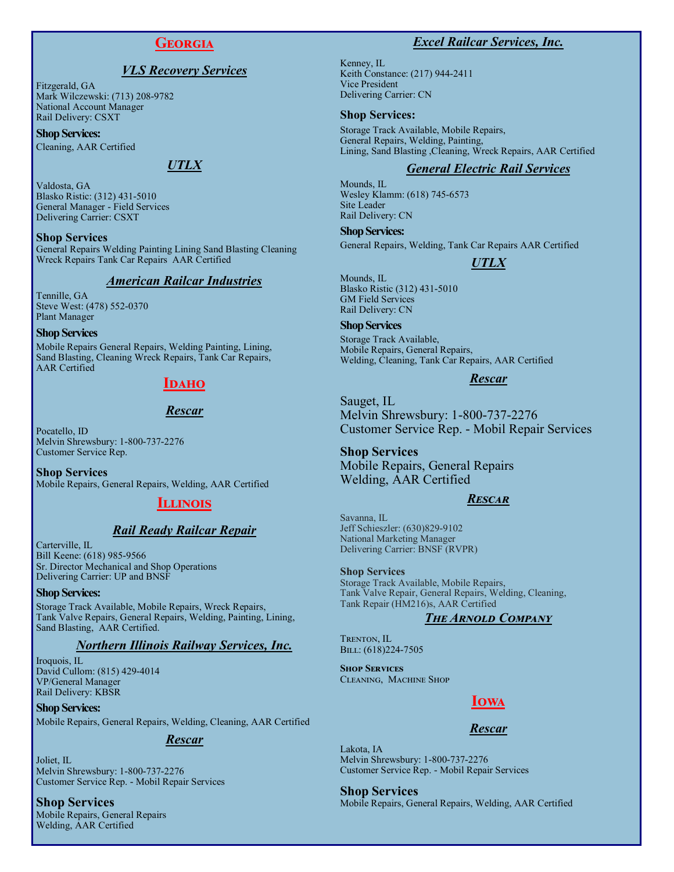# **Georgia**

#### *VLS Recovery Services*

Fitzgerald, GA Mark Wilczewski: (713) 208-9782 National Account Manager Rail Delivery: CSXT

**Shop Services:**

Cleaning, AAR Certified

#### *UTLX*

Valdosta, GA Blasko Ristic: (312) 431-5010 General Manager - Field Services Delivering Carrier: CSXT

**Shop Services**

General Repairs Welding Painting Lining Sand Blasting Cleaning Wreck Repairs Tank Car Repairs AAR Certified

#### *American Railcar Industries*

Tennille, GA Steve West: (478) 552-0370 Plant Manager

#### **Shop Services**

Mobile Repairs General Repairs, Welding Painting, Lining, Sand Blasting, Cleaning Wreck Repairs, Tank Car Repairs, AAR Certified

#### **Idaho**

#### *Rescar*

Pocatello, ID Melvin Shrewsbury: 1-800-737-2276 Customer Service Rep.

**Shop Services** Mobile Repairs, General Repairs, Welding, AAR Certified

#### **Illinois**

#### *Rail Ready Railcar Repair*

Carterville, IL Bill Keene: (618) 985-9566 Sr. Director Mechanical and Shop Operations Delivering Carrier: UP and BNSF

#### **Shop Services:**

Storage Track Available, Mobile Repairs, Wreck Repairs, Tank Valve Repairs, General Repairs, Welding, Painting, Lining, Sand Blasting, AAR Certified.

#### *Northern Illinois Railway Services, Inc.*

Iroquois, IL David Cullom: (815) 429-4014 VP/General Manager Rail Delivery: KBSR

**Shop Services:** Mobile Repairs, General Repairs, Welding, Cleaning, AAR Certified

#### *Rescar*

Joliet, IL Melvin Shrewsbury: 1-800-737-2276 Customer Service Rep. - Mobil Repair Services

#### **Shop Services**

Mobile Repairs, General Repairs Welding, AAR Certified

# *Excel Railcar Services, Inc.*

Kenney, IL Keith Constance: (217) 944-2411 Vice President Delivering Carrier: CN

#### **Shop Services:**

Storage Track Available, Mobile Repairs, General Repairs, Welding, Painting, Lining, Sand Blasting ,Cleaning, Wreck Repairs, AAR Certified

### *General Electric Rail Services*

Mounds, IL Wesley Klamm: (618) 745-6573 Site Leader Rail Delivery: CN

#### **Shop Services:**

General Repairs, Welding, Tank Car Repairs AAR Certified

# *UTLX*

Mounds, IL Blasko Ristic (312) 431-5010 GM Field Services Rail Delivery: CN

#### **Shop Services**

Storage Track Available, Mobile Repairs, General Repairs, Welding, Cleaning, Tank Car Repairs, AAR Certified

#### *Rescar*

Sauget, IL Melvin Shrewsbury: 1-800-737-2276 Customer Service Rep. - Mobil Repair Services

**Shop Services** Mobile Repairs, General Repairs Welding, AAR Certified

#### *Rescar*

Savanna, IL Jeff Schieszler: (630)829-9102 National Marketing Manager Delivering Carrier: BNSF (RVPR)

#### **Shop Services**

Storage Track Available, Mobile Repairs, Tank Valve Repair, General Repairs, Welding, Cleaning, Tank Repair (HM216)s, AAR Certified

#### *The Arnold Company*

TRENTON, IL BILL: (618)224-7505

**Shop Services** Cleaning, Machine Shop

# **Iowa**

#### *Rescar*

Lakota, IA Melvin Shrewsbury: 1-800-737-2276 Customer Service Rep. - Mobil Repair Services

**Shop Services** Mobile Repairs, General Repairs, Welding, AAR Certified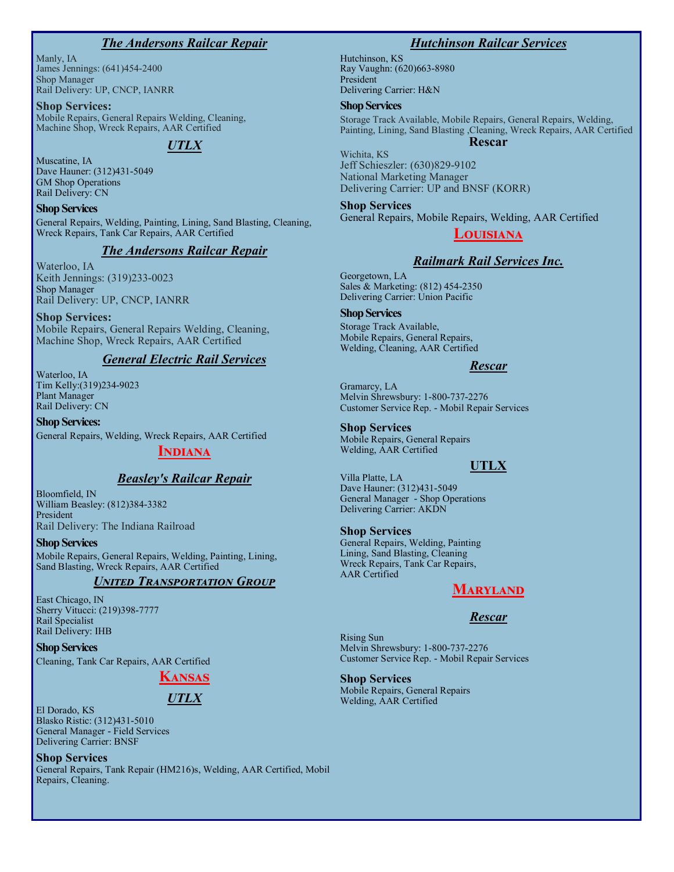#### *The Andersons Railcar Repair*

Manly, IA James Jennings: (641)454-2400 Shop Manager Rail Delivery: UP, CNCP, IANRR

**Shop Services:**

Mobile Repairs, General Repairs Welding, Cleaning, Machine Shop, Wreck Repairs, AAR Certified

# *UTLX*

Muscatine, IA Dave Hauner: (312)431-5049 GM Shop Operations Rail Delivery: CN

**Shop Services** General Repairs, Welding, Painting, Lining, Sand Blasting, Cleaning, Wreck Repairs, Tank Car Repairs, AAR Certified

#### *The Andersons Railcar Repair*

Waterloo, IA Keith Jennings: (319)233-0023 Shop Manager Rail Delivery: UP, CNCP, IANRR

**Shop Services:** Mobile Repairs, General Repairs Welding, Cleaning, Machine Shop, Wreck Repairs, AAR Certified

#### *General Electric Rail Services*

Waterloo, IA Tim Kelly:(319)234-9023 Plant Manager Rail Delivery: CN

**Shop Services:** General Repairs, Welding, Wreck Repairs, AAR Certified

#### **Indiana**

#### *Beasley's Railcar Repair*

Bloomfield, IN William Beasley: (812)384-3382 President Rail Delivery: The Indiana Railroad

**Shop Services**

Mobile Repairs, General Repairs, Welding, Painting, Lining, Sand Blasting, Wreck Repairs, AAR Certified

#### *United Transportation Group*

East Chicago, IN Sherry Vitucci: (219)398-7777 Rail Specialist Rail Delivery: IHB

**Shop Services** Cleaning, Tank Car Repairs, AAR Certified

**Kansas**

# *UTLX*

El Dorado, KS Blasko Ristic: (312)431-5010 General Manager - Field Services Delivering Carrier: BNSF

**Shop Services**

General Repairs, Tank Repair (HM216)s, Welding, AAR Certified, Mobil Repairs, Cleaning.

#### *Hutchinson Railcar Services*

Hutchinson, KS Ray Vaughn: (620)663-8980 President Delivering Carrier: H&N

#### **Shop Services**

Storage Track Available, Mobile Repairs, General Repairs, Welding, Painting, Lining, Sand Blasting ,Cleaning, Wreck Repairs, AAR Certified

#### **Rescar**

Wichita, KS Jeff Schieszler: (630)829-9102 National Marketing Manager Delivering Carrier: UP and BNSF (KORR)

**Shop Services** General Repairs, Mobile Repairs, Welding, AAR Certified

#### **Louisiana**

### *Railmark Rail Services Inc.*

Georgetown, LA Sales & Marketing: (812) 454-2350 Delivering Carrier: Union Pacific

#### **Shop Services**

Storage Track Available, Mobile Repairs, General Repairs, Welding, Cleaning, AAR Certified

#### *Rescar*

Gramarcy, LA Melvin Shrewsbury: 1-800-737-2276 Customer Service Rep. - Mobil Repair Services

#### **Shop Services**

Mobile Repairs, General Repairs Welding, AAR Certified

#### **UTLX**

Villa Platte, LA Dave Hauner: (312)431-5049 General Manager - Shop Operations Delivering Carrier: AKDN

#### **Shop Services**

General Repairs, Welding, Painting Lining, Sand Blasting, Cleaning Wreck Repairs, Tank Car Repairs, AAR Certified

#### **Maryland**

#### *Rescar*

Rising Sun Melvin Shrewsbury: 1-800-737-2276 Customer Service Rep. - Mobil Repair Services

**Shop Services** Mobile Repairs, General Repairs Welding, AAR Certified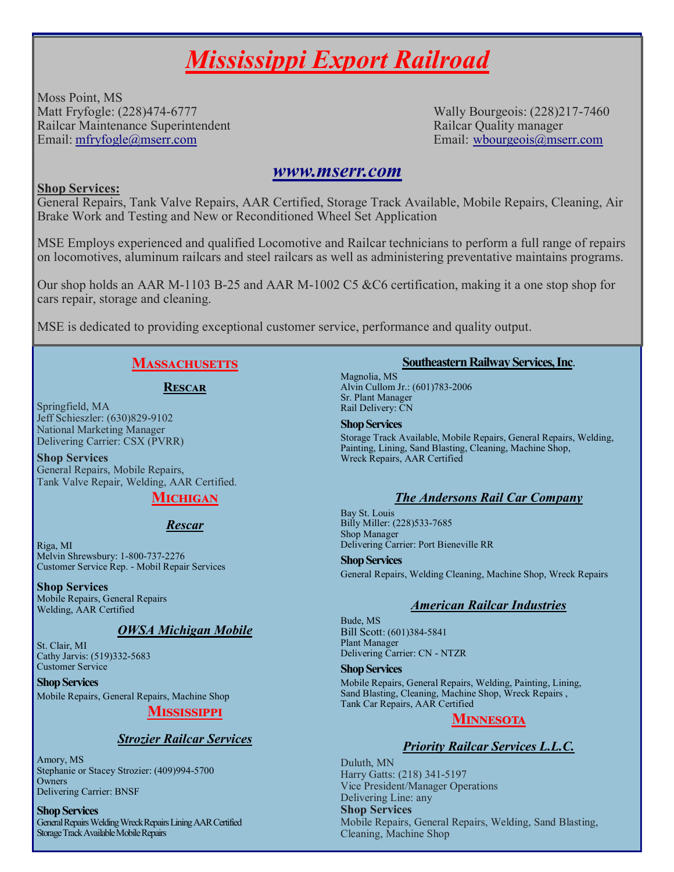# *Mississippi Export Railroad*

Moss Point, MS Matt Fryfogle: (228)474-6777 Wally Bourgeois: (228)217-7460 Railcar Maintenance Superintendent **Railcar Communisty Communisty** Railcar Quality manager Email: [mfryfogle@mserr.com](mailto:mfryfogle@mserr.com?subject=Per%20your%20ad%20in%20The%20Rail%20Mart) Email: [wbourgeois@mserr.com](mailto:wbourgeois@mserr.com?subject=Per%20your%20ad%20in%20The%20Rail%20Mart.)

# *[www.mserr.com](http://www.mserr.com)*

# **Shop Services:**

General Repairs, Tank Valve Repairs, AAR Certified, Storage Track Available, Mobile Repairs, Cleaning, Air Brake Work and Testing and New or Reconditioned Wheel Set Application

MSE Employs experienced and qualified Locomotive and Railcar technicians to perform a full range of repairs on locomotives, aluminum railcars and steel railcars as well as administering preventative maintains programs.

Our shop holds an AAR M-1103 B-25 and AAR M-1002 C5 &C6 certification, making it a one stop shop for cars repair, storage and cleaning.

MSE is dedicated to providing exceptional customer service, performance and quality output.

# MASSACHUSETTS

# **Rescar**

Springfield, MA Jeff Schieszler: (630)829-9102 National Marketing Manager Delivering Carrier: CSX (PVRR)

**Shop Services** General Repairs, Mobile Repairs, Tank Valve Repair, Welding, AAR Certified.

# **Michigan**

# *Rescar*

Riga, MI Melvin Shrewsbury: 1-800-737-2276 Customer Service Rep. - Mobil Repair Services

# **Shop Services**

Mobile Repairs, General Repairs Welding, AAR Certified

# *OWSA Michigan Mobile*

St. Clair, MI Cathy Jarvis: (519)332-5683 Customer Service

**Shop Services** Mobile Repairs, General Repairs, Machine Shop

# **Mississippi**

# *Strozier Railcar Services*

Amory, MS Stephanie or Stacey Strozier: (409)994-5700 Owners Delivering Carrier: BNSF

#### **Shop Services**

General Repairs Welding Wreck Repairs Lining AAR Certified Storage Track Available Mobile Repairs

# **Southeastern Railway Services, Inc**.

Magnolia, MS Alvin Cullom Jr.: (601)783-2006 Sr. Plant Manager Rail Delivery: CN

#### **Shop Services**

Storage Track Available, Mobile Repairs, General Repairs, Welding, Painting, Lining, Sand Blasting, Cleaning, Machine Shop, Wreck Repairs, AAR Certified

# *The Andersons Rail Car Company*

Bay St. Louis Billy Miller: (228)533-7685 Shop Manager Delivering Carrier: Port Bieneville RR

**Shop Services**

General Repairs, Welding Cleaning, Machine Shop, Wreck Repairs

# *American Railcar Industries*

Bude, MS Bill Scott: (601)384-5841 Plant Manager Delivering Carrier: CN - NTZR

#### **Shop Services**

Mobile Repairs, General Repairs, Welding, Painting, Lining, Sand Blasting, Cleaning, Machine Shop, Wreck Repairs , Tank Car Repairs, AAR Certified

# **Minnesota**

# *Priority Railcar Services L.L.C.*

Duluth, MN Harry Gatts: (218) 341-5197 Vice President/Manager Operations Delivering Line: any **Shop Services** Mobile Repairs, General Repairs, Welding, Sand Blasting, Cleaning, Machine Shop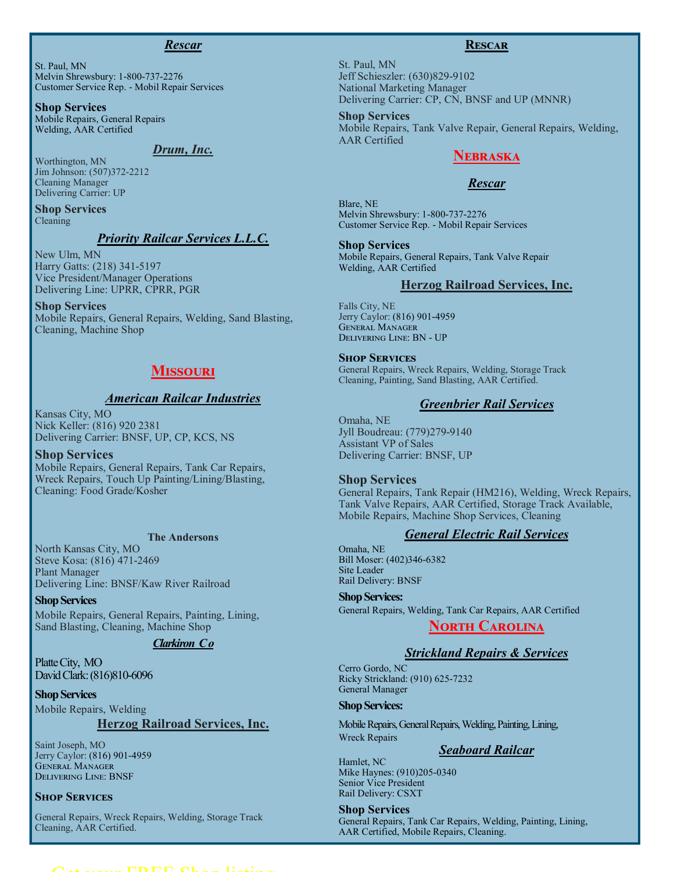#### *Rescar*

St. Paul, MN Melvin Shrewsbury: 1-800-737-2276 Customer Service Rep. - Mobil Repair Services

**Shop Services** Mobile Repairs, General Repairs Welding, AAR Certified

### *Drum, Inc.*

Worthington, MN Jim Johnson: (507)372-2212 Cleaning Manager Delivering Carrier: UP

**Shop Services** Cleaning

### *Priority Railcar Services L.L.C.*

New Ulm, MN Harry Gatts: (218) 341-5197 Vice President/Manager Operations Delivering Line: UPRR, CPRR, PGR

#### **Shop Services**

Mobile Repairs, General Repairs, Welding, Sand Blasting, Cleaning, Machine Shop

# **Missouri**

#### *American Railcar Industries*

Kansas City, MO Nick Keller: (816) 920 2381 Delivering Carrier: BNSF, UP, CP, KCS, NS

**Shop Services** Mobile Repairs, General Repairs, Tank Car Repairs, Wreck Repairs, Touch Up Painting/Lining/Blasting, Cleaning: Food Grade/Kosher

#### **The Andersons**

North Kansas City, MO Steve Kosa: (816) 471-2469 Plant Manager Delivering Line: BNSF/Kaw River Railroad

**Shop Services** Mobile Repairs, General Repairs, Painting, Lining, Sand Blasting, Cleaning, Machine Shop

#### *Clarkiron C o*

Platte City, MO David Clark: (816)810-6096

**Shop Services** Mobile Repairs, Welding

# **Herzog Railroad Services, Inc.**

Saint Joseph, MO Jerry Caylor: (816) 901-4959 General Manager Delivering Line: BNSF

#### **Shop Services**

General Repairs, Wreck Repairs, Welding, Storage Track Cleaning, AAR Certified.

#### **Rescar**

St. Paul, MN Jeff Schieszler: (630)829-9102 National Marketing Manager Delivering Carrier: CP, CN, BNSF and UP (MNNR)

#### **Shop Services**

Mobile Repairs, Tank Valve Repair, General Repairs, Welding, AAR Certified

# **Nebraska**

#### *Rescar*

Blare, NE Melvin Shrewsbury: 1-800-737-2276 Customer Service Rep. - Mobil Repair Services

#### **Shop Services**

Mobile Repairs, General Repairs, Tank Valve Repair Welding, AAR Certified

#### **Herzog Railroad Services, Inc.**

Falls City, NE Jerry Caylor: (816) 901-4959 General Manager Delivering Line: BN - UP

#### **Shop Services**

General Repairs, Wreck Repairs, Welding, Storage Track Cleaning, Painting, Sand Blasting, AAR Certified.

# *Greenbrier Rail Services*

Omaha, NE Jyll Boudreau: (779)279-9140 Assistant VP of Sales Delivering Carrier: BNSF, UP

#### **Shop Services**

General Repairs, Tank Repair (HM216), Welding, Wreck Repairs, Tank Valve Repairs, AAR Certified, Storage Track Available, Mobile Repairs, Machine Shop Services, Cleaning

#### *General Electric Rail Services*

Omaha, NE Bill Moser: (402)346-6382 Site Leader Rail Delivery: BNSF

#### **Shop Services:**

General Repairs, Welding, Tank Car Repairs, AAR Certified

# **North Carolina**

#### *Strickland Repairs & Services*

Cerro Gordo, NC Ricky Strickland: (910) 625-7232 General Manager

#### **Shop Services:**

Mobile Repairs, General Repairs, Welding, Painting, Lining, Wreck Repairs

# *Seaboard Railcar*

Hamlet, NC Mike Haynes: (910)205-0340 Senior Vice President Rail Delivery: CSXT

**Shop Services**

General Repairs, Tank Car Repairs, Welding, Painting, Lining, AAR Certified, Mobile Repairs, Cleaning.

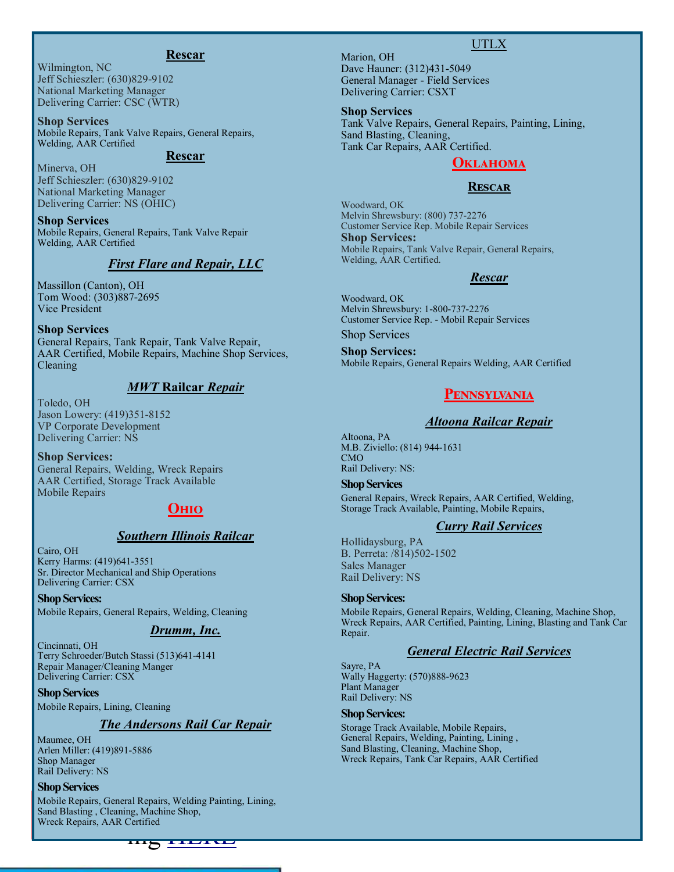#### **Rescar**

Wilmington, NC Jeff Schieszler: (630)829-9102 National Marketing Manager Delivering Carrier: CSC (WTR)

**Shop Services** Mobile Repairs, Tank Valve Repairs, General Repairs, Welding, AAR Certified

#### **Rescar**

Minerva, OH Jeff Schieszler: (630)829-9102 National Marketing Manager Delivering Carrier: NS (OHIC)

**Shop Services** Mobile Repairs, General Repairs, Tank Valve Repair Welding, AAR Certified

#### *First Flare and Repair, LLC*

Massillon (Canton), OH Tom Wood: (303)887-2695 Vice President

#### **Shop Services**

General Repairs, Tank Repair, Tank Valve Repair, AAR Certified, Mobile Repairs, Machine Shop Services, Cleaning

#### *MWT* **Railcar** *Repair*

Toledo, OH Jason Lowery: (419)351-8152 VP Corporate Development Delivering Carrier: NS

**Shop Services:** General Repairs, Welding, Wreck Repairs AAR Certified, Storage Track Available Mobile Repairs

# **Ohio**

#### *Southern Illinois Railcar*

Cairo, OH Kerry Harms: (419)641-3551 Sr. Director Mechanical and Ship Operations Delivering Carrier: CSX

#### **Shop Services:**

Mobile Repairs, General Repairs, Welding, Cleaning

#### *Drumm, Inc.*

Cincinnati, OH Terry Schroeder/Butch Stassi (513)641-4141 Repair Manager/Cleaning Manger Delivering Carrier: CSX

**Shop Services**

Mobile Repairs, Lining, Cleaning

#### *The Andersons Rail Car Repair*

Maumee, OH Arlen Miller: (419)891-5886 Shop Manager Rail Delivery: NS

#### **Shop Services**

Mobile Repairs, General Repairs, Welding Painting, Lining,<br>Sand Blasting , Cleaning, Machine Shop,<br>Wasela Barajing, AAB Gartified Sand Blasting , Cleaning, Machine Shop, Wreck Repairs, AAR Certified

#### UTLX

Marion, OH Dave Hauner: (312)431-5049 General Manager - Field Services Delivering Carrier: CSXT

#### **Shop Services**

Tank Valve Repairs, General Repairs, Painting, Lining, Sand Blasting, Cleaning, Tank Car Repairs, AAR Certified.

#### **Oklahoma**

#### **Rescar**

Woodward, OK Melvin Shrewsbury: (800) 737-2276 Customer Service Rep. Mobile Repair Services **Shop Services:** Mobile Repairs, Tank Valve Repair, General Repairs, Welding, AAR Certified.

#### *Rescar*

Woodward, OK Melvin Shrewsbury: 1-800-737-2276 Customer Service Rep. - Mobil Repair Services

Shop Services

**Shop Services:** Mobile Repairs, General Repairs Welding, AAR Certified

#### **Pennsylvania**

#### *Altoona Railcar Repair*

Altoona, PA M.B. Ziviello: (814) 944-1631 CMO Rail Delivery: NS:

#### **Shop Services**

General Repairs, Wreck Repairs, AAR Certified, Welding, Storage Track Available, Painting, Mobile Repairs,

#### *Curry Rail Services*

Hollidaysburg, PA B. Perreta: /814)502-1502 Sales Manager Rail Delivery: NS

#### **Shop Services:**

Mobile Repairs, General Repairs, Welding, Cleaning, Machine Shop, Wreck Repairs, AAR Certified, Painting, Lining, Blasting and Tank Car Repair.

#### *General Electric Rail Services*

Sayre, PA Wally Haggerty: (570)888-9623 Plant Manager Rail Delivery: NS

#### **Shop Services:**

Storage Track Available, Mobile Repairs, General Repairs, Welding, Painting, Lining , Sand Blasting, Cleaning, Machine Shop, Wreck Repairs, Tank Car Repairs, AAR Certified

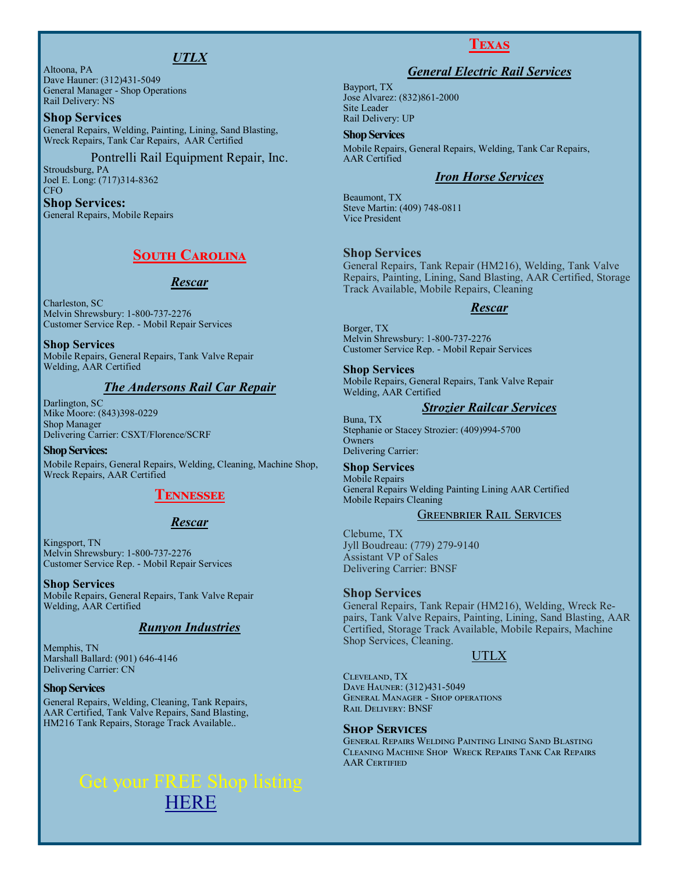# *UTLX*

Altoona, PA Dave Hauner: (312)431-5049 General Manager - Shop Operations Rail Delivery: NS

#### **Shop Services**

General Repairs, Welding, Painting, Lining, Sand Blasting, Wreck Repairs, Tank Car Repairs, AAR Certified

#### Pontrelli Rail Equipment Repair, Inc.

Stroudsburg, PA Joel E. Long: (717)314-8362 CFO

#### **Shop Services:** General Repairs, Mobile Repairs

# **South Carolina**

#### *Rescar*

Charleston, SC Melvin Shrewsbury: 1-800-737-2276 Customer Service Rep. - Mobil Repair Services

**Shop Services** Mobile Repairs, General Repairs, Tank Valve Repair Welding, AAR Certified

#### *The Andersons Rail Car Repair*

Darlington, SC Mike Moore: (843)398-0229 Shop Manager Delivering Carrier: CSXT/Florence/SCRF

#### **Shop Services:** Mobile Repairs, General Repairs, Welding, Cleaning, Machine Shop, Wreck Repairs, AAR Certified

#### **Tennessee**

#### *Rescar*

Kingsport, TN Melvin Shrewsbury: 1-800-737-2276 Customer Service Rep. - Mobil Repair Services

**Shop Services** Mobile Repairs, General Repairs, Tank Valve Repair Welding, AAR Certified

#### *Runyon Industries*

Memphis, TN Marshall Ballard: (901) 646-4146 Delivering Carrier: CN

#### **Shop Services**

General Repairs, Welding, Cleaning, Tank Repairs, AAR Certified, Tank Valve Repairs, Sand Blasting, HM216 Tank Repairs, Storage Track Available..

# [HERE](http://www.therailmart.com/pages/reparishopdata.html)

# **Texas**

#### *General Electric Rail Services*

Bayport, TX Jose Alvarez: (832)861-2000 Site Leader Rail Delivery: UP

#### **Shop Services**

Mobile Repairs, General Repairs, Welding, Tank Car Repairs, AAR Certified

#### *Iron Horse Services*

Beaumont, TX Steve Martin: (409) 748-0811 Vice President

#### **Shop Services**

General Repairs, Tank Repair (HM216), Welding, Tank Valve Repairs, Painting, Lining, Sand Blasting, AAR Certified, Storage Track Available, Mobile Repairs, Cleaning

#### *Rescar*

Borger, TX Melvin Shrewsbury: 1-800-737-2276 Customer Service Rep. - Mobil Repair Services

**Shop Services**

Mobile Repairs, General Repairs, Tank Valve Repair Welding, AAR Certified

#### *Strozier Railcar Services*

Buna, TX Stephanie or Stacey Strozier: (409)994-5700 **Owners** Delivering Carrier:

#### **Shop Services**

Mobile Repairs General Repairs Welding Painting Lining AAR Certified Mobile Repairs Cleaning

#### Greenbrier Rail Services

Clebume, TX Jyll Boudreau: (779) 279-9140 Assistant VP of Sales Delivering Carrier: BNSF

#### **Shop Services**

General Repairs, Tank Repair (HM216), Welding, Wreck Repairs, Tank Valve Repairs, Painting, Lining, Sand Blasting, AAR Certified, Storage Track Available, Mobile Repairs, Machine Shop Services, Cleaning.

#### UTLX

Cleveland, TX Dave Hauner: (312)431-5049 General Manager - Shop operations Rail Delivery: BNSF

#### **Shop Services**

General Repairs Welding Painting Lining Sand Blasting Cleaning Machine Shop Wreck Repairs Tank Car Repairs **AAR CERTIFIED**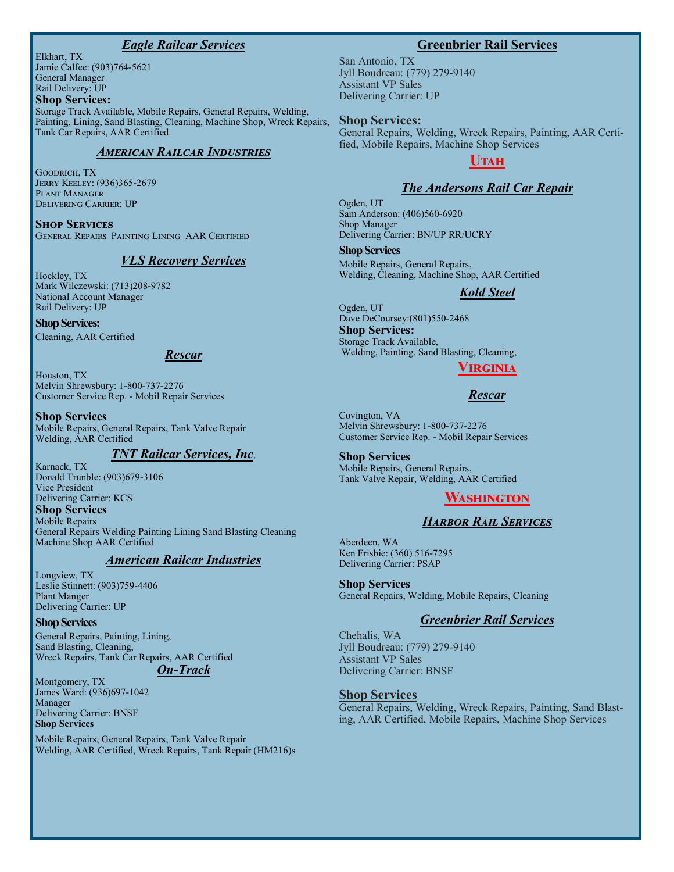#### *Eagle Railcar Services*

Elkhart, TX Jamie Calfee: (903)764-5621 General Manager Rail Delivery: UP **Shop Services:**

Storage Track Available, Mobile Repairs, General Repairs, Welding, Painting, Lining, Sand Blasting, Cleaning, Machine Shop, Wreck Repairs, Tank Car Repairs, AAR Certified.

#### *American Railcar Industries*

Goodrich, TX Jerry Keeley: (936)365-2679 Plant Manager Delivering Carrier: UP

**Shop Services** General Repairs Painting Lining AAR Certified

#### *VLS Recovery Services*

Hockley, TX Mark Wilczewski: (713)208-9782 National Account Manager Rail Delivery: UP

#### **Shop Services:**

Cleaning, AAR Certified

#### *Rescar*

Houston, TX Melvin Shrewsbury: 1-800-737-2276 Customer Service Rep. - Mobil Repair Services

#### **Shop Services**

Mobile Repairs, General Repairs, Tank Valve Repair Welding, AAR Certified

#### *TNT Railcar Services, Inc*.

Karnack, TX Donald Trunble: (903)679-3106 Vice President Delivering Carrier: KCS **Shop Services** Mobile Repairs General Repairs Welding Painting Lining Sand Blasting Cleaning Machine Shop AAR Certified

#### *American Railcar Industries*

Longview, TX Leslie Stinnett: (903)759-4406 Plant Manger Delivering Carrier: UP

#### **Shop Services**

General Repairs, Painting, Lining, Sand Blasting, Cleaning, Wreck Repairs, Tank Car Repairs, AAR Certified

# *On-Track*

Montgomery, TX James Ward: (936)697-1042 Manager Delivering Carrier: BNSF **Shop Services**

Mobile Repairs, General Repairs, Tank Valve Repair Welding, AAR Certified, Wreck Repairs, Tank Repair (HM216)s

#### **Greenbrier Rail Services**

San Antonio, TX Jyll Boudreau: (779) 279-9140 Assistant VP Sales Delivering Carrier: UP

#### **Shop Services:**

General Repairs, Welding, Wreck Repairs, Painting, AAR Certified, Mobile Repairs, Machine Shop Services

# **Utah**

#### *The Andersons Rail Car Repair*

Ogden, UT Sam Anderson: (406)560-6920 Shop Manager Delivering Carrier: BN/UP RR/UCRY

**Shop Services** Mobile Repairs, General Repairs, Welding, Cleaning, Machine Shop, AAR Certified

#### *Kold Steel*

Ogden, UT Dave DeCoursey:(801)550-2468 **Shop Services:** Storage Track Available, Welding, Painting, Sand Blasting, Cleaning,

#### **Virginia**

#### *Rescar*

Covington, VA Melvin Shrewsbury: 1-800-737-2276 Customer Service Rep. - Mobil Repair Services

**Shop Services** Mobile Repairs, General Repairs, Tank Valve Repair, Welding, AAR Certified

# **Washington**

#### *Harbor Rail Services*

Aberdeen, WA Ken Frisbie: (360) 516-7295 Delivering Carrier: PSAP

#### **Shop Services**

General Repairs, Welding, Mobile Repairs, Cleaning

#### *Greenbrier Rail Services*

Chehalis, WA Jyll Boudreau: (779) 279-9140 Assistant VP Sales Delivering Carrier: BNSF

#### **Shop Services**

General Repairs, Welding, Wreck Repairs, Painting, Sand Blasting, AAR Certified, Mobile Repairs, Machine Shop Services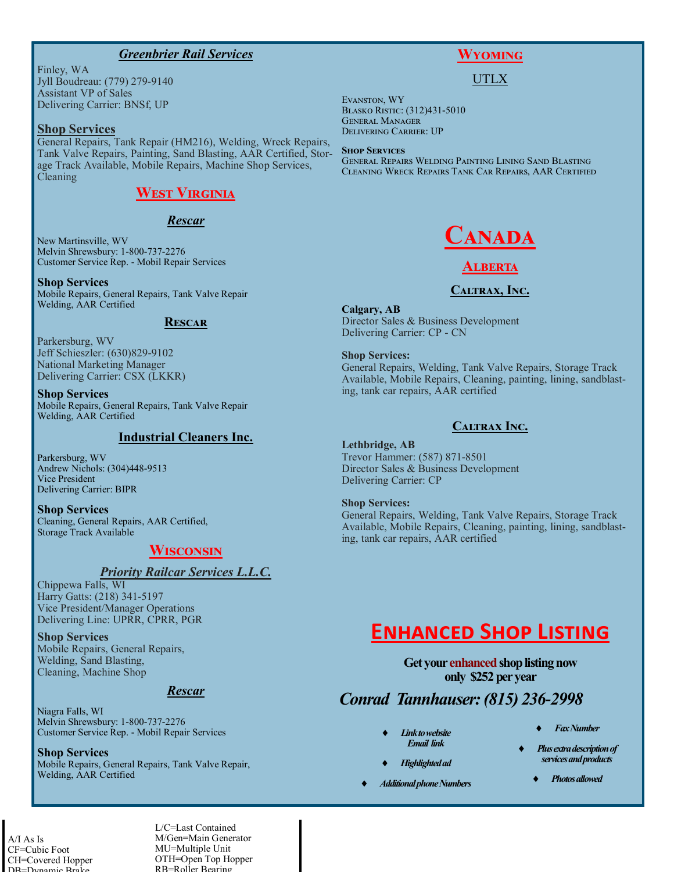#### *Greenbrier Rail Services*

Finley, WA Jyll Boudreau: (779) 279-9140 Assistant VP of Sales Delivering Carrier: BNSf, UP

#### **Shop Services**

General Repairs, Tank Repair (HM216), Welding, Wreck Repairs, Tank Valve Repairs, Painting, Sand Blasting, AAR Certified, Storage Track Available, Mobile Repairs, Machine Shop Services, Cleaning

# **West Virginia**

#### *Rescar*

New Martinsville, WV Melvin Shrewsbury: 1-800-737-2276 Customer Service Rep. - Mobil Repair Services

#### **Shop Services**

Mobile Repairs, General Repairs, Tank Valve Repair Welding, AAR Certified

#### **Rescar**

Parkersburg, WV Jeff Schieszler: (630)829-9102 National Marketing Manager Delivering Carrier: CSX (LKKR)

**Shop Services** Mobile Repairs, General Repairs, Tank Valve Repair Welding, AAR Certified

#### **Industrial Cleaners Inc.**

Parkersburg, WV Andrew Nichols: (304)448-9513 Vice President Delivering Carrier: BIPR

**Shop Services**  Cleaning, General Repairs, AAR Certified, Storage Track Available

# **Wisconsin**

#### *Priority Railcar Services L.L.C.*

Chippewa Falls, WI Harry Gatts: (218) 341-5197 Vice President/Manager Operations Delivering Line: UPRR, CPRR, PGR

**Shop Services** Mobile Repairs, General Repairs, Welding, Sand Blasting, Cleaning, Machine Shop

#### *Rescar*

Niagra Falls, WI Melvin Shrewsbury: 1-800-737-2276 Customer Service Rep. - Mobil Repair Services

**Shop Services** Mobile Repairs, General Repairs, Tank Valve Repair, Welding, AAR Certified

# **Wyoming**

#### UTLX

Evanston, WY Blasko Ristic: (312)431-5010 General Manager Delivering Carrier: UP

#### **Shop Services**

General Repairs Welding Painting Lining Sand Blasting Cleaning Wreck Repairs Tank Car Repairs, AAR Certified



# **Alberta**

#### **Caltrax, Inc.**

**Calgary, AB** Director Sales & Business Development

Delivering Carrier: CP - CN

**Shop Services:** General Repairs, Welding, Tank Valve Repairs, Storage Track Available, Mobile Repairs, Cleaning, painting, lining, sandblasting, tank car repairs, AAR certified

### **Caltrax Inc.**

#### **Lethbridge, AB**

Trevor Hammer: (587) 871-8501 Director Sales & Business Development Delivering Carrier: CP

#### **Shop Services:**

General Repairs, Welding, Tank Valve Repairs, Storage Track Available, Mobile Repairs, Cleaning, painting, lining, sandblasting, tank car repairs, AAR certified

# **Enhanced Shop Listing**

**Get your enhanced shop listing now only \$252 per year**

# *Conrad Tannhauser: (815) 236-2998*

- *Link to website Email link*
- *Highlighted ad*
- *Additional phone Numbers*
- *Fax Number*
- *Plus extra description of services and products*
	- *Photos allowed*

A/I As Is CF=Cubic Foot CH=Covered Hopper DB=Dynamic Brake

L/C=Last Contained M/Gen=Main Generator MU=Multiple Unit OTH=Open Top Hopper RB=Roller Bearing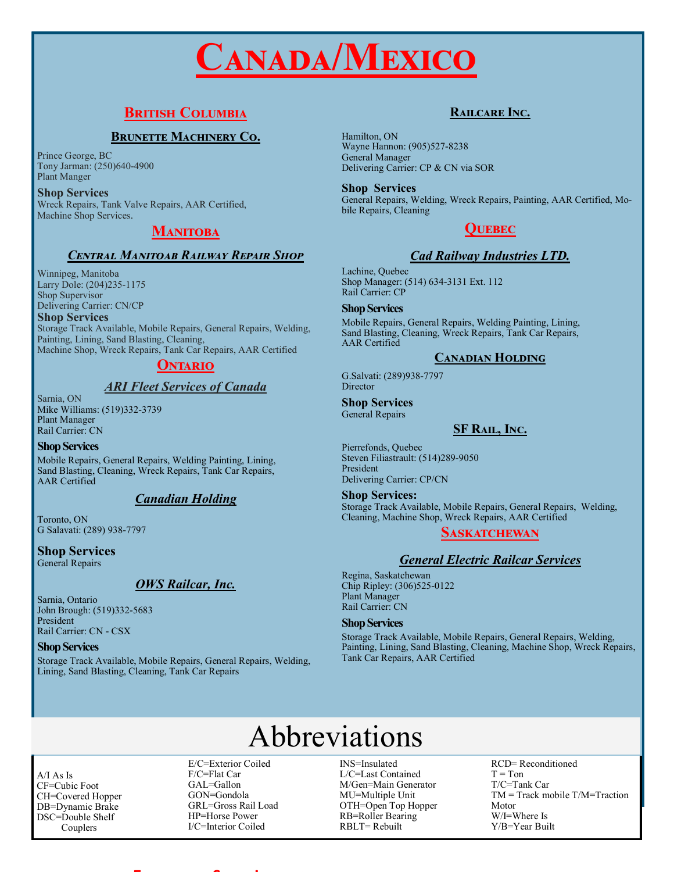# **Canada/Mexico**

# **British Columbia**

# **BRUNETTE MACHINERY CO.**

Prince George, BC Tony Jarman: (250)640-4900 Plant Manger

**Shop Services** Wreck Repairs, Tank Valve Repairs, AAR Certified, Machine Shop Services.

# MANITOBA

#### *Central Manitoab Railway Repair Shop*

Winnipeg, Manitoba Larry Dole: (204)235-1175 Shop Supervisor Delivering Carrier: CN/CP

**Shop Services**

Storage Track Available, Mobile Repairs, General Repairs, Welding, Painting, Lining, Sand Blasting, Cleaning, Machine Shop, Wreck Repairs, Tank Car Repairs, AAR Certified

# **Ontario**

# *ARI Fleet Services of Canada*

Sarnia, ON Mike Williams: (519)332-3739 Plant Manager Rail Carrier: CN

#### **Shop Services**

Mobile Repairs, General Repairs, Welding Painting, Lining, Sand Blasting, Cleaning, Wreck Repairs, Tank Car Repairs, AAR Certified

# *Canadian Holding*

Toronto, ON G Salavati: (289) 938-7797

# **Shop Services**

General Repairs

# *OWS Railcar, Inc.*

Sarnia, Ontario John Brough: (519)332-5683 President Rail Carrier: CN - CSX

**Shop Services**

Storage Track Available, Mobile Repairs, General Repairs, Welding, Lining, Sand Blasting, Cleaning, Tank Car Repairs

# **Railcare Inc.**

Hamilton, ON Wayne Hannon: (905)527-8238 General Manager Delivering Carrier: CP & CN via SOR

**Shop Services** General Repairs, Welding, Wreck Repairs, Painting, AAR Certified, Mobile Repairs, Cleaning

# **Quebec**

# *Cad Railway Industries LTD.*

Lachine, Quebec Shop Manager: (514) 634-3131 Ext. 112 Rail Carrier: CP

#### **Shop Services**

Mobile Repairs, General Repairs, Welding Painting, Lining, Sand Blasting, Cleaning, Wreck Repairs, Tank Car Repairs, AAR Certified

### **Canadian Holding**

G.Salvati: (289)938-7797 **Director** 

### **Shop Services**

General Repairs

# **SF Rail, Inc.**

Pierrefonds, Quebec Steven Filiastrault: (514)289-9050 President Delivering Carrier: CP/CN

**Shop Services:**

Storage Track Available, Mobile Repairs, General Repairs, Welding, Cleaning, Machine Shop, Wreck Repairs, AAR Certified

# **Saskatchewan**

# *General Electric Railcar Services*

Regina, Saskatchewan Chip Ripley: (306)525-0122 Plant Manager Rail Carrier: CN

#### **Shop Services**

Storage Track Available, Mobile Repairs, General Repairs, Welding, Painting, Lining, Sand Blasting, Cleaning, Machine Shop, Wreck Repairs, Tank Car Repairs, AAR Certified

# Abbreviations

A/I As Is CF=Cubic Foot CH=Covered Hopper DB=Dynamic Brake DSC=Double Shelf Couplers

E/C=Exterior Coiled F/C=Flat Car GAL=Gallon GON=Gondola GRL=Gross Rail Load HP=Horse Power I/C=Interior Coiled

**Enhanced Shop Listing**

INS=Insulated L/C=Last Contained M/Gen=Main Generator MU=Multiple Unit OTH=Open Top Hopper RB=Roller Bearing RBLT= Rebuilt

RCD= Reconditioned  $T = Ton$ T/C=Tank Car TM = Track mobile T/M=Traction Motor W/I=Where Is Y/B=Year Built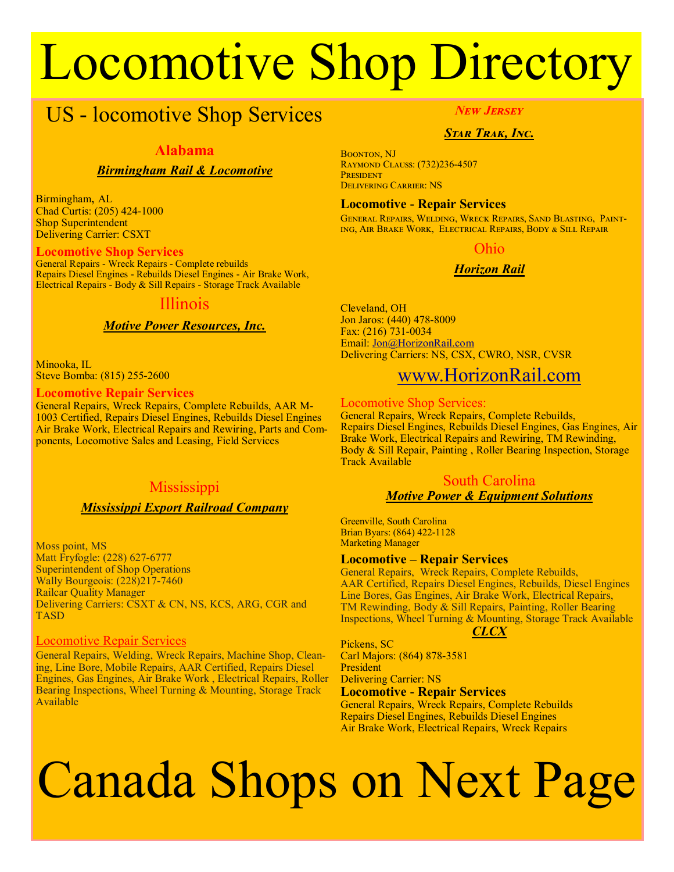# Locomotive Shop Directory

# US - locomotive Shop Services

### **Alabama**

### *Birmingham Rail & Locomotive*

Birmingham, AL Chad Curtis: (205) 424-1000 Shop Superintendent Delivering Carrier: CSXT

#### **Locomotive Shop Services**

General Repairs - Wreck Repairs - Complete rebuilds Repairs Diesel Engines - Rebuilds Diesel Engines - Air Brake Work, Electrical Repairs - Body & Sill Repairs - Storage Track Available

# Illinois

# *Motive Power Resources, Inc.*

Minooka, IL Steve Bomba: (815) 255-2600

#### **Locomotive Repair Services**

General Repairs, Wreck Repairs, Complete Rebuilds, AAR M-1003 Certified, Repairs Diesel Engines, Rebuilds Diesel Engines Air Brake Work, Electrical Repairs and Rewiring, Parts and Components, Locomotive Sales and Leasing, Field Services

# **Mississippi**

#### *Mississippi Export Railroad Company*

Moss point, MS Matt Fryfogle: (228) 627-6777 Superintendent of Shop Operations Wally Bourgeois: (228)217-7460 Railcar Quality Manager Delivering Carriers: CSXT & CN, NS, KCS, ARG, CGR and TASD

#### Locomotive Repair Services

General Repairs, Welding, Wreck Repairs, Machine Shop, Cleaning, Line Bore, Mobile Repairs, AAR Certified, Repairs Diesel Engines, Gas Engines, Air Brake Work , Electrical Repairs, Roller Bearing Inspections, Wheel Turning & Mounting, Storage Track Available

#### *New Jersey*

### *Star Trak, Inc.*

Boonton, NJ Raymond Clauss: (732)236-4507 **PRESIDENT** Delivering Carrier: NS

#### **Locomotive - Repair Services**

General Repairs, Welding, Wreck Repairs, Sand Blasting, Painting, Air Brake Work, Electrical Repairs, Body & Sill Repair

#### Ohio

# *Horizon Rail*

Cleveland, OH Jon Jaros: (440) 478-8009 Fax: (216) 731-0034 Email: [Jon@HorizonRail.com](mailto:jon@horizonrail.com?subject=Per%20your%20ad%20in%20%22The%20Rail%20Mart%22) Delivering Carriers: NS, CSX, CWRO, NSR, CVSR

# [www.HorizonRail.com](Http://www.horizonrail.com)

#### Locomotive Shop Services:

General Repairs, Wreck Repairs, Complete Rebuilds, Repairs Diesel Engines, Rebuilds Diesel Engines, Gas Engines, Air Brake Work, Electrical Repairs and Rewiring, TM Rewinding, Body & Sill Repair, Painting , Roller Bearing Inspection, Storage Track Available

#### South Carolina *Motive Power & Equipment Solutions*

Greenville, South Carolina Brian Byars: (864) 422-1128 Marketing Manager

#### **Locomotive – Repair Services**

General Repairs, Wreck Repairs, Complete Rebuilds, AAR Certified, Repairs Diesel Engines, Rebuilds, Diesel Engines Line Bores, Gas Engines, Air Brake Work, Electrical Repairs, TM Rewinding, Body & Sill Repairs, Painting, Roller Bearing Inspections, Wheel Turning & Mounting, Storage Track Available

#### *CLCX*

Pickens, SC Carl Majors: (864) 878-3581 President Delivering Carrier: NS

### **Locomotive - Repair Services**

General Repairs, Wreck Repairs, Complete Rebuilds Repairs Diesel Engines, Rebuilds Diesel Engines Air Brake Work, Electrical Repairs, Wreck Repairs

# Canada Shops on Next Page